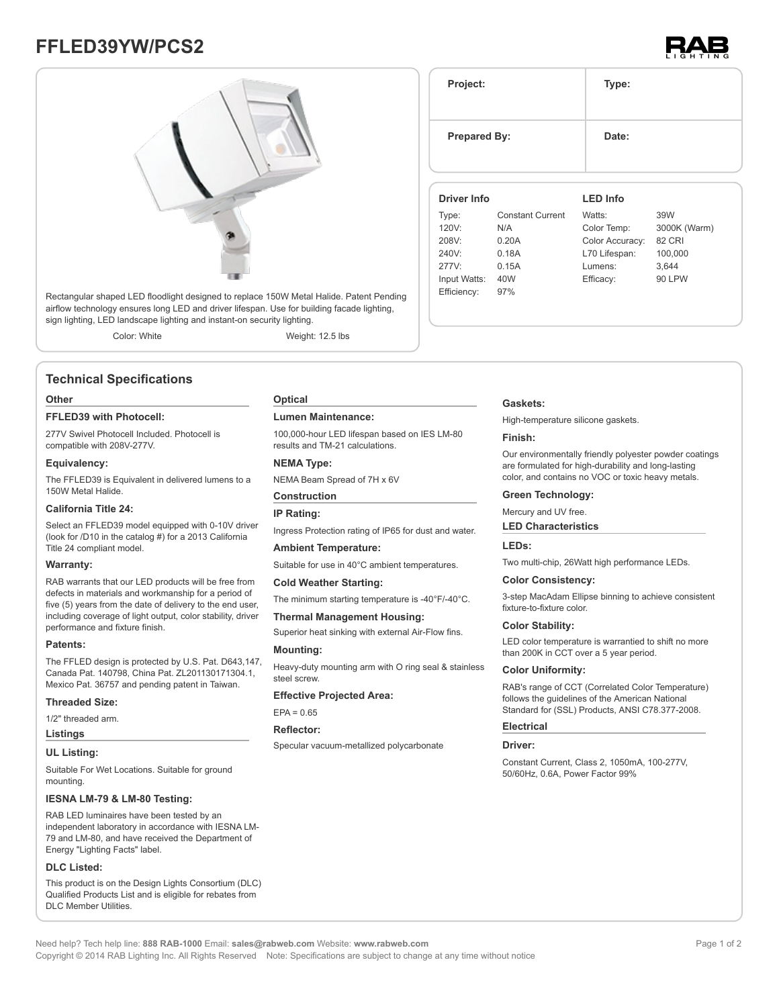# **FFLED39YW/PCS2**





Rectangular shaped LED floodlight designed to replace 150W Metal Halide. Patent Pending airflow technology ensures long LED and driver lifespan. Use for building facade lighting, sign lighting, LED landscape lighting and instant-on security lighting.

Color: White Weight: 12.5 lbs

## **Technical Specifications**

#### **Other**

#### **FFLED39 with Photocell:**

277V Swivel Photocell Included. Photocell is compatible with 208V-277V.

#### **Equivalency:**

The FFLED39 is Equivalent in delivered lumens to a 150W Metal Halide.

#### **California Title 24:**

Select an FFLED39 model equipped with 0-10V driver (look for /D10 in the catalog #) for a 2013 California Title 24 compliant model.

#### **Warranty:**

RAB warrants that our LED products will be free from defects in materials and workmanship for a period of five (5) years from the date of delivery to the end user, including coverage of light output, color stability, driver performance and fixture finish.

#### **Patents:**

The FFLED design is protected by U.S. Pat. D643,147, Canada Pat. 140798, China Pat. ZL201130171304.1, Mexico Pat. 36757 and pending patent in Taiwan.

#### **Threaded Size:**

1/2" threaded arm.

## **Listings**

#### **UL Listing:**

Suitable For Wet Locations. Suitable for ground mounting.

#### **IESNA LM-79 & LM-80 Testing:**

RAB LED luminaires have been tested by an independent laboratory in accordance with IESNA LM-79 and LM-80, and have received the Department of Energy "Lighting Facts" label.

#### **DLC Listed:**

This product is on the Design Lights Consortium (DLC) Qualified Products List and is eligible for rebates from DLC Member Utilities.

#### **Optical**

#### **Lumen Maintenance:**

100,000-hour LED lifespan based on IES LM-80 results and TM-21 calculations.

### **NEMA Type:**

NEMA Beam Spread of 7H x 6V

### **Construction**

#### **IP Rating:**

Ingress Protection rating of IP65 for dust and water.

#### **Ambient Temperature:**

Suitable for use in 40°C ambient temperatures.

# **Cold Weather Starting:**

The minimum starting temperature is -40°F/-40°C.

#### **Thermal Management Housing:**

Superior heat sinking with external Air-Flow fins.

#### **Mounting:**

Heavy-duty mounting arm with O ring seal & stainless steel screw.

#### **Effective Projected Area:**

 $EPA = 0.65$ 

#### **Reflector:**

Specular vacuum-metallized polycarbonate

# **Gaskets:**

**Project: Type:**

**Prepared By:** Date:

**Driver Info**

120V: N/A 208V: 0.20A 240V: 0.18A 277V: 0.15A Input Watts: 40W Efficiency: 97%

Type: Constant Current

High-temperature silicone gaskets.

#### **Finish:**

Our environmentally friendly polyester powder coatings are formulated for high-durability and long-lasting color, and contains no VOC or toxic heavy metals.

**LED Info**

Watts: 39W Color Temp: 3000K (Warm) Color Accuracy: 82 CRI L70 Lifespan: 100,000 Lumens: 3,644 Efficacy: 90 LPW

#### **Green Technology:**

Mercury and UV free.

#### **LED Characteristics**

# **LEDs:**

Two multi-chip, 26Watt high performance LEDs.

#### **Color Consistency:**

3-step MacAdam Ellipse binning to achieve consistent fixture-to-fixture color.

#### **Color Stability:**

LED color temperature is warrantied to shift no more than 200K in CCT over a 5 year period.

#### **Color Uniformity:**

RAB's range of CCT (Correlated Color Temperature) follows the guidelines of the American National Standard for (SSL) Products, ANSI C78.377-2008.

# **Electrical**

#### **Driver:**

Constant Current, Class 2, 1050mA, 100-277V, 50/60Hz, 0.6A, Power Factor 99%